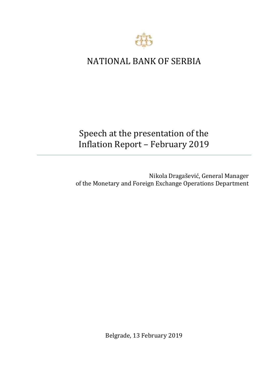

## NATIONAL BANK OF SERBIA

## Speech at the presentation of the Inflation Report – February 2019

Nikola Dragašević, General Manager of the Monetary and Foreign Exchange Operations Department

Belgrade, 13 February 2019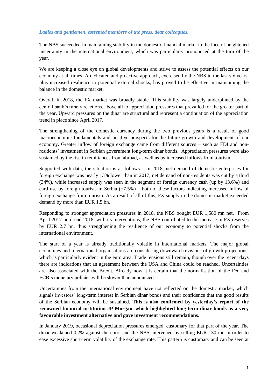## *Ladies and gentlemen, esteemed members of the press, dear colleagues,*

The NBS succeeded in maintaining stability in the domestic financial market in the face of heightened uncertainty in the international environment, which was particularly pronounced at the turn of the year.

We are keeping a close eye on global developments and strive to assess the potential effects on our economy at all times. A dedicated and proactive approach, exercised by the NBS in the last six years, plus increased resilience to potential external shocks, has proved to be effective in maintaining the balance in the domestic market.

Overall in 2018, the FX market was broadly stable. This stability was largely underpinned by the central bank's timely reactions, above all to appreciation pressures that prevailed for the greater part of the year. Upward pressures on the dinar are structural and represent a continuation of the appreciation trend in place since April 2017.

The strengthening of the domestic currency during the two previous years is a result of good macroeconomic fundamentals and positive prospects for the future growth and development of our economy. Greater inflow of foreign exchange came from different sources – such as FDI and nonresidents' investment in Serbian government long-term dinar bonds. Appreciation pressures were also sustained by the rise in remittances from abroad, as well as by increased inflows from tourism.

Supported with data, the situation is as follows  $-$  in 2018, net demand of domestic enterprises for foreign exchange was nearly 13% lower than in 2017, net demand of non-residents was cut by a third (34%), while increased supply was seen in the segment of foreign currency cash (up by 13.6%) and card use by foreign tourists in Serbia  $(+7.5%)$  – both of these factors indicating increased inflow of foreign exchange from tourism. As a result of all of this, FX supply in the domestic market exceeded demand by more than EUR 1.5 bn.

Responding to stronger appreciation pressures in 2018, the NBS bought EUR 1,580 mn net. From April 2017 until end-2018, with its interventions, the NBS contributed to the increase in FX reserves by EUR 2.7 bn, thus strengthening the resilience of our economy to potential shocks from the international environment.

The start of a year is already traditionally volatile in international markets. The major global economies and international organisations are considering downward revisions of growth projections, which is particularly evident in the euro area. Trade tensions still remain, though over the recent days there are indications that an agreement between the USA and China could be reached. Uncertainties are also associated with the Brexit. Already now it is certain that the normalisation of the Fed and ECB's monetary policies will be slower than announced.

Uncertainties from the international environment have not reflected on the domestic market, which signals investors' long-term interest in Serbian dinar bonds and their confidence that the good results of the Serbian economy will be sustained. **This is also confirmed by yesterday's report of the renowned financial institution JP Morgan, which highlighted long-term dinar bonds as a very favourable investment alternative and gave investment recommendations**.

In January 2019, occasional depreciation pressures emerged, customary for that part of the year. The dinar weakened 0.2% against the euro, and the NBS intervened by selling EUR 130 mn in order to ease excessive short-term volatility of the exchange rate. This pattern is customary and can be seen at